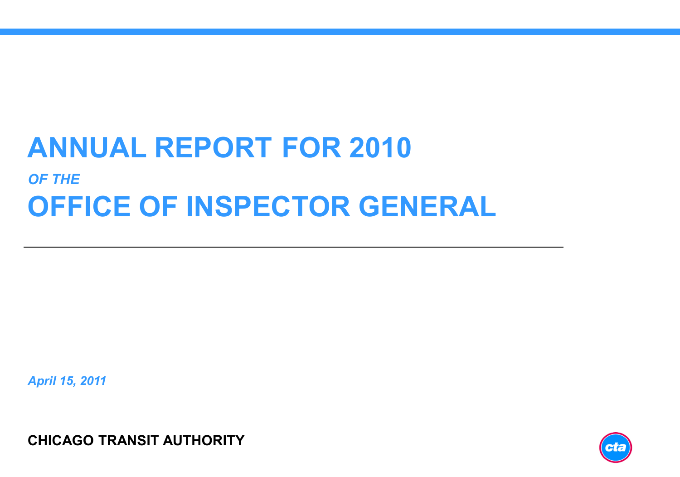# **ANNUAL REPORT FOR 2010** *OF THE* **OFFICE OF INSPECTOR GENERAL**

*April 15, 2011*

**CHICAGO TRANSIT AUTHORITY**

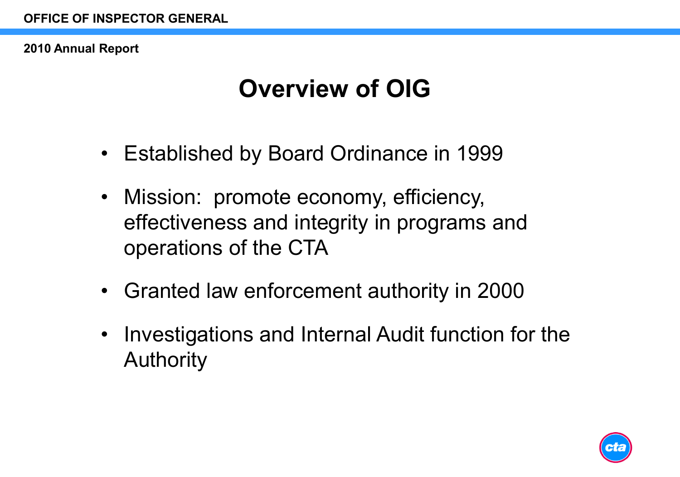# **Overview of OIG**

- Established by Board Ordinance in 1999
- Mission: promote economy, efficiency, effectiveness and integrity in programs and operations of the CTA
- Granted law enforcement authority in 2000
- Investigations and Internal Audit function for the Authority

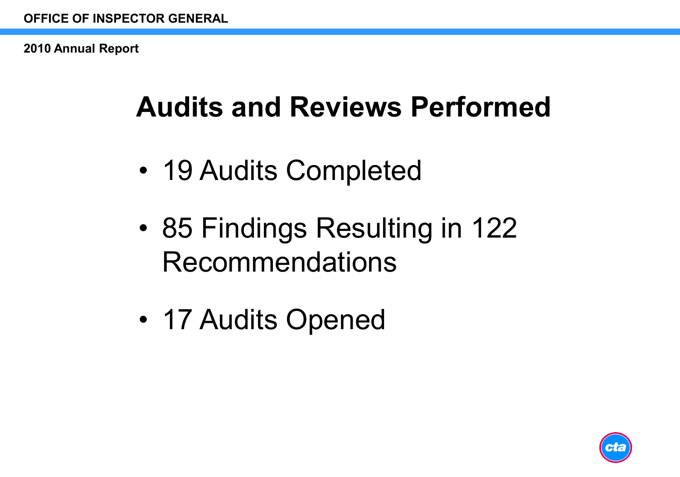# **Audits and Reviews Performed**

- 19 Audits Completed
- 85 Findings Resulting in 122 Recommendations
- 17 Audits Opened

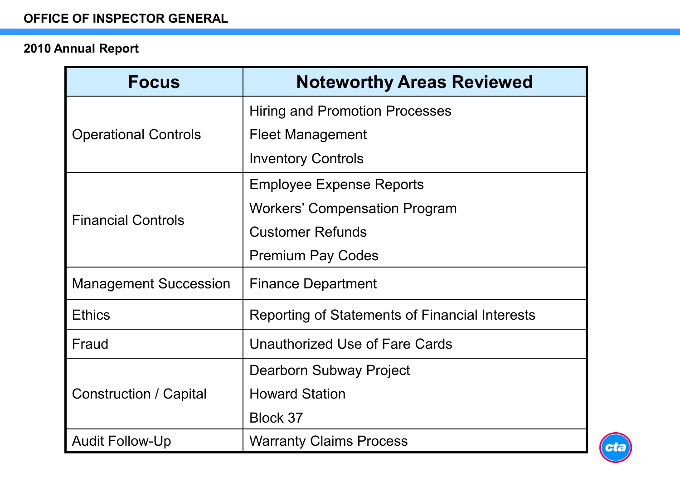| <b>Focus</b>                  | <b>Noteworthy Areas Reviewed</b>               |
|-------------------------------|------------------------------------------------|
| <b>Operational Controls</b>   | <b>Hiring and Promotion Processes</b>          |
|                               | <b>Fleet Management</b>                        |
|                               | <b>Inventory Controls</b>                      |
| <b>Financial Controls</b>     | <b>Employee Expense Reports</b>                |
|                               | <b>Workers' Compensation Program</b>           |
|                               | <b>Customer Refunds</b>                        |
|                               | <b>Premium Pay Codes</b>                       |
| <b>Management Succession</b>  | <b>Finance Department</b>                      |
| <b>Ethics</b>                 | Reporting of Statements of Financial Interests |
| Fraud                         | Unauthorized Use of Fare Cards                 |
| <b>Construction / Capital</b> | Dearborn Subway Project                        |
|                               | <b>Howard Station</b>                          |
|                               | Block 37                                       |
| <b>Audit Follow-Up</b>        | <b>Warranty Claims Process</b>                 |

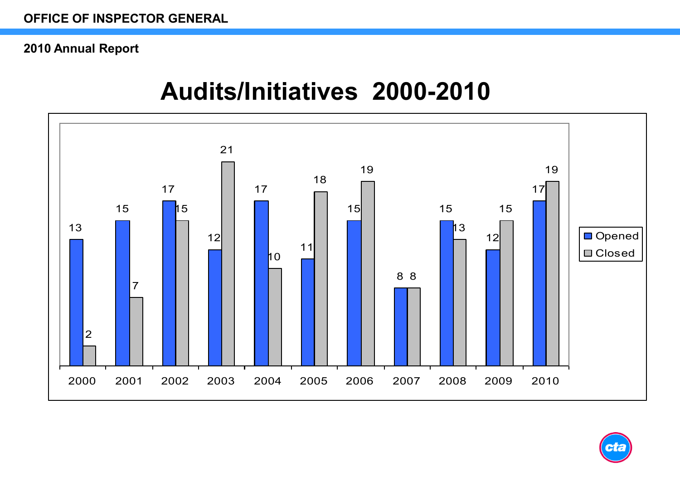### **Audits/Initiatives 2000-2010**



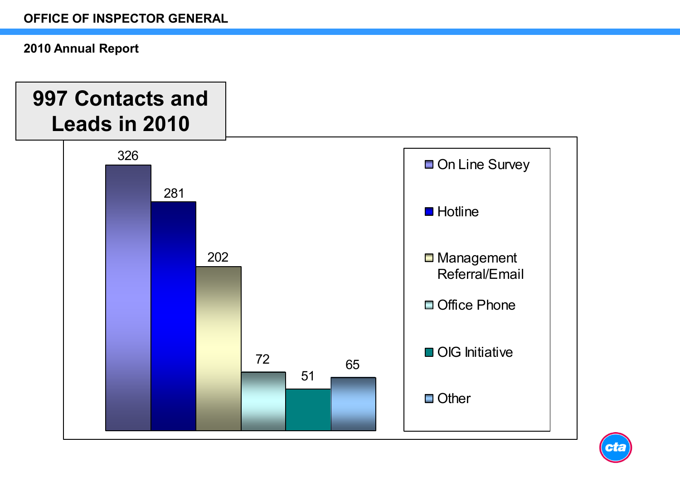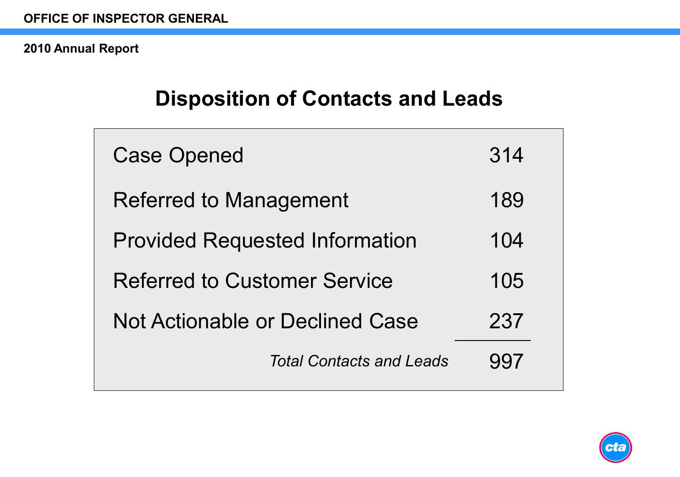### **Disposition of Contacts and Leads**

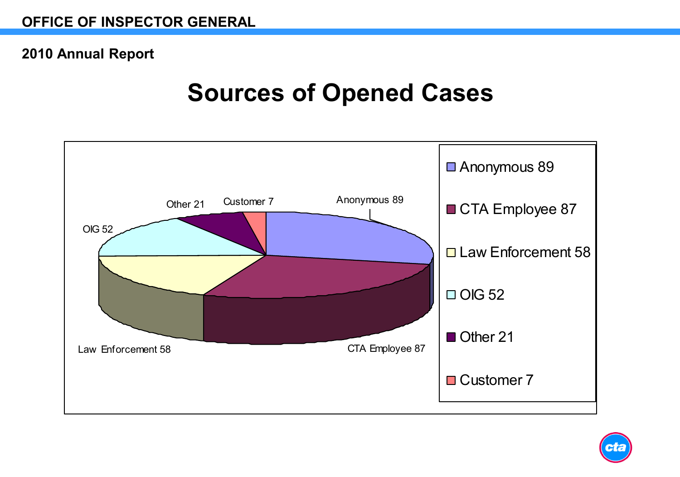### **Sources of Opened Cases**



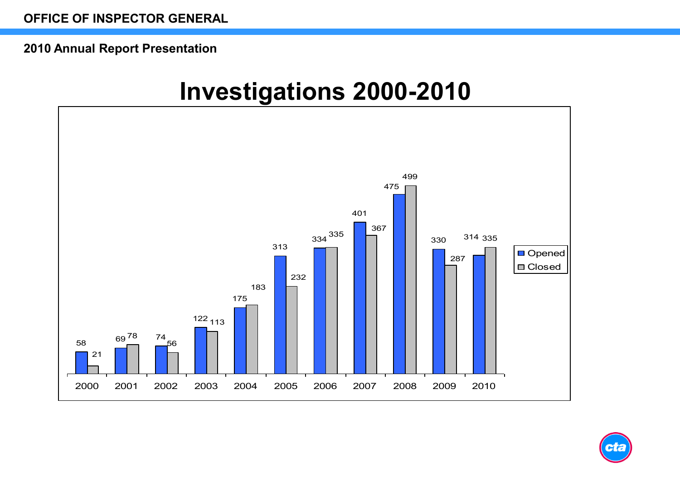#### **2010 Annual Report Presentation**

### **Investigations 2000-2010**



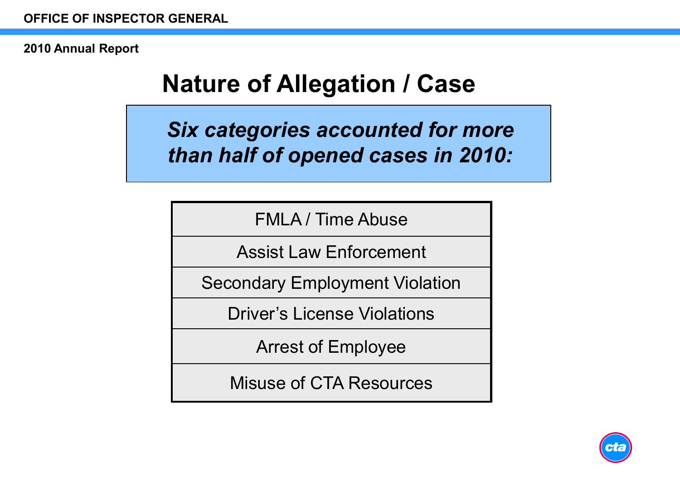# **Nature of Allegation / Case**

*Six categories accounted for more than half of opened cases in 2010:*

FMLA / Time Abuse

Assist Law Enforcement

Secondary Employment Violation

Driver's License Violations

Arrest of Employee

Misuse of CTA Resources

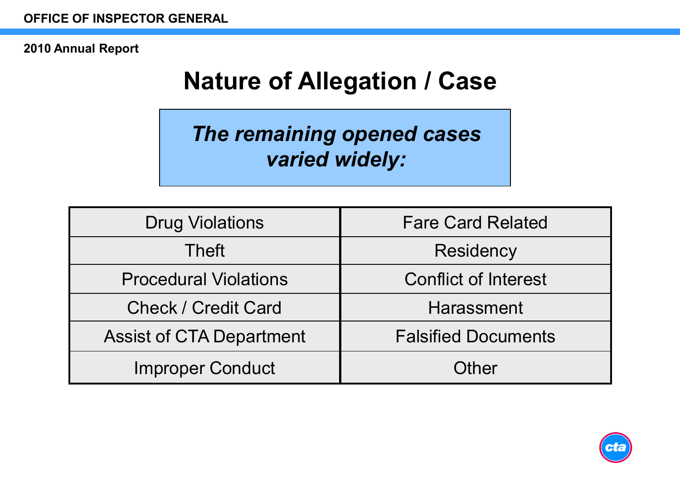# **Nature of Allegation / Case**

*The remaining opened cases varied widely:*

| <b>Drug Violations</b>          | <b>Fare Card Related</b>    |
|---------------------------------|-----------------------------|
| <b>Theft</b>                    | Residency                   |
| <b>Procedural Violations</b>    | <b>Conflict of Interest</b> |
| <b>Check / Credit Card</b>      | Harassment                  |
| <b>Assist of CTA Department</b> | <b>Falsified Documents</b>  |
| <b>Improper Conduct</b>         | Other                       |

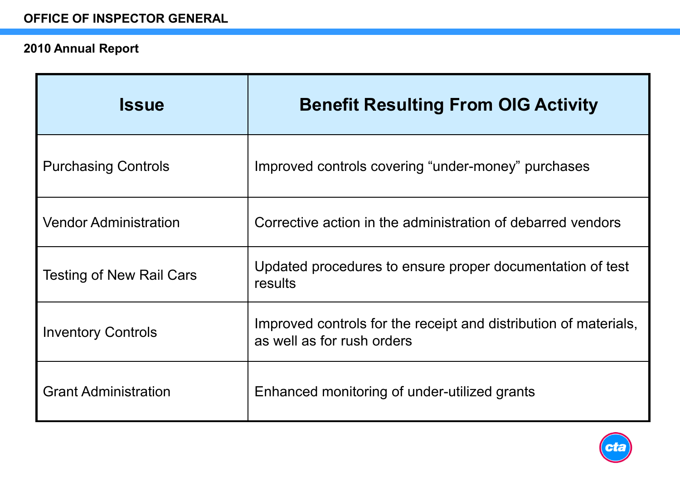| <b>Issue</b>                    | <b>Benefit Resulting From OIG Activity</b>                                                     |
|---------------------------------|------------------------------------------------------------------------------------------------|
| <b>Purchasing Controls</b>      | Improved controls covering "under-money" purchases                                             |
| <b>Vendor Administration</b>    | Corrective action in the administration of debarred vendors                                    |
| <b>Testing of New Rail Cars</b> | Updated procedures to ensure proper documentation of test<br>results                           |
| <b>Inventory Controls</b>       | Improved controls for the receipt and distribution of materials,<br>as well as for rush orders |
| <b>Grant Administration</b>     | Enhanced monitoring of under-utilized grants                                                   |

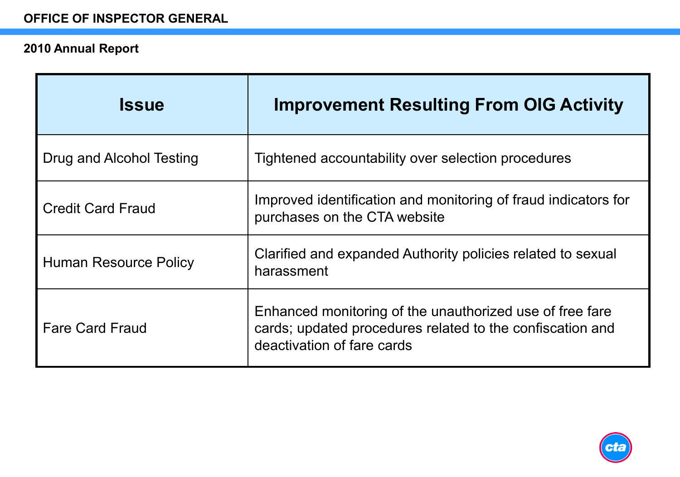| <b>Issue</b>             | <b>Improvement Resulting From OIG Activity</b>                                                                                                      |
|--------------------------|-----------------------------------------------------------------------------------------------------------------------------------------------------|
| Drug and Alcohol Testing | Tightened accountability over selection procedures                                                                                                  |
| <b>Credit Card Fraud</b> | Improved identification and monitoring of fraud indicators for<br>purchases on the CTA website                                                      |
| Human Resource Policy    | Clarified and expanded Authority policies related to sexual<br>harassment                                                                           |
| <b>Fare Card Fraud</b>   | Enhanced monitoring of the unauthorized use of free fare<br>cards; updated procedures related to the confiscation and<br>deactivation of fare cards |

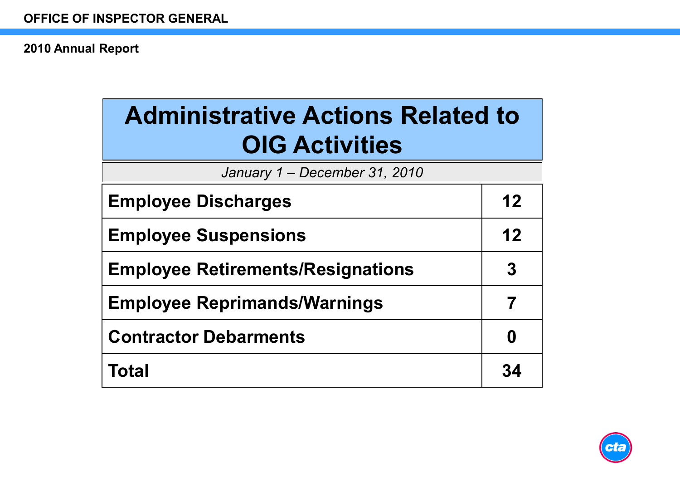| <b>Administrative Actions Related to</b><br><b>OIG Activities</b> |    |  |
|-------------------------------------------------------------------|----|--|
| January 1 - December 31, 2010                                     |    |  |
| <b>Employee Discharges</b>                                        | 12 |  |
| <b>Employee Suspensions</b>                                       | 12 |  |
| <b>Employee Retirements/Resignations</b>                          |    |  |
| <b>Employee Reprimands/Warnings</b>                               |    |  |
| <b>Contractor Debarments</b>                                      |    |  |
| Total                                                             | 34 |  |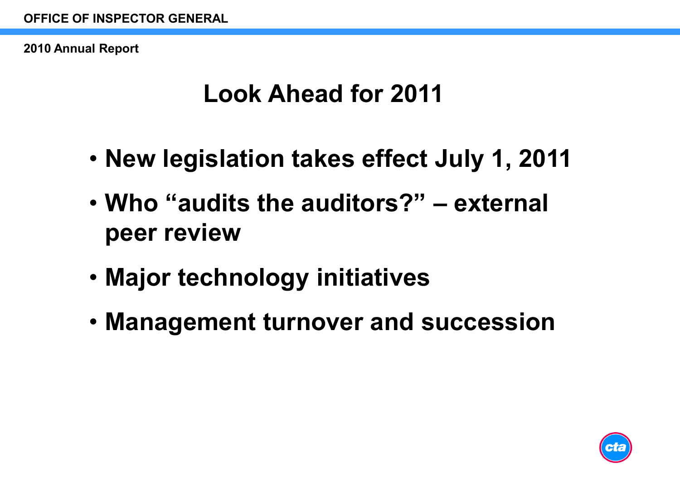## **Look Ahead for 2011**

- **New legislation takes effect July 1, 2011**
- **Who "audits the auditors?" – external peer review**
- **Major technology initiatives**
- **Management turnover and succession**